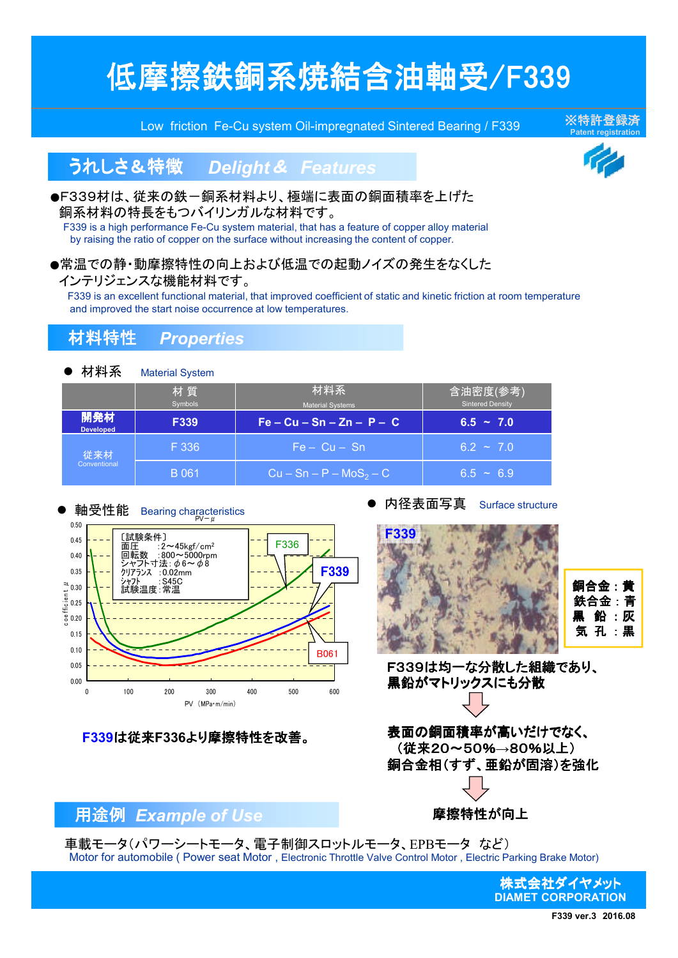# 低摩擦鉄銅系焼結含油軸受/F339

Low friction Fe-Cu system Oil-impregnated Sintered Bearing / F339

※特許登録済

## うれしさ&特徴 *Delight* & *Features*

#### ●F339材は、従来の鉄一銅系材料より、極端に表面の銅面積率を上げた 銅系材料の特長をもつバイリンガルな材料です。

F339 is a high performance Fe-Cu system material, that has a feature of copper alloy material by raising the ratio of copper on the surface without increasing the content of copper.

#### ●常温での静・動摩擦特性の向上および低温での起動ノイズの発生をなくした

#### インテリジェンスな機能材料です。

F339 is an excellent functional material, that improved coefficient of static and kinetic friction at room temperature and improved the start noise occurrence at low temperatures.

### 材料特性 *Properties*

| 材料系                     | <b>Material System</b> |                                |                                     |  |  |
|-------------------------|------------------------|--------------------------------|-------------------------------------|--|--|
|                         | 材質<br><b>Symbols</b>   | 材料系<br><b>Material Systems</b> | 含油密度(参考)<br><b>Sintered Density</b> |  |  |
| 開発材<br><b>Developed</b> | <b>F339</b>            | $Fe - Cu - Sn - Zn - P - C$    | $6.5 - 7.0$                         |  |  |
| 従来材<br>Conventional     | F 336                  | $Fe - Cu - Sn$                 | $6.2 \sim 7.0$                      |  |  |
|                         | B 061                  | $Cu - Sn - P - MoS2 - C$       | $6.5 \sim 6.9$                      |  |  |



**F339**は従来**F336**より摩擦特性を改善。

内径表面写真 Surface structure





F339は均一な分散した組織であり、 黒鉛がマトリックスにも分散

表面の銅面積率が高いだけでなく、 (従来20~50%**→**80%以上) 銅合金相(すず、亜鉛が固溶)を強化

### 用途例 *Example of Use*

**摩擦特性が向上** 

車載モータ(パワーシートモータ、電子制御スロットルモータ、EPBモータ など) Motor for automobile ( Power seat Motor , Electronic Throttle Valve Control Motor , Electric Parking Brake Motor)

> 株式会社ダイヤメット **DIAMET CORPORATION**